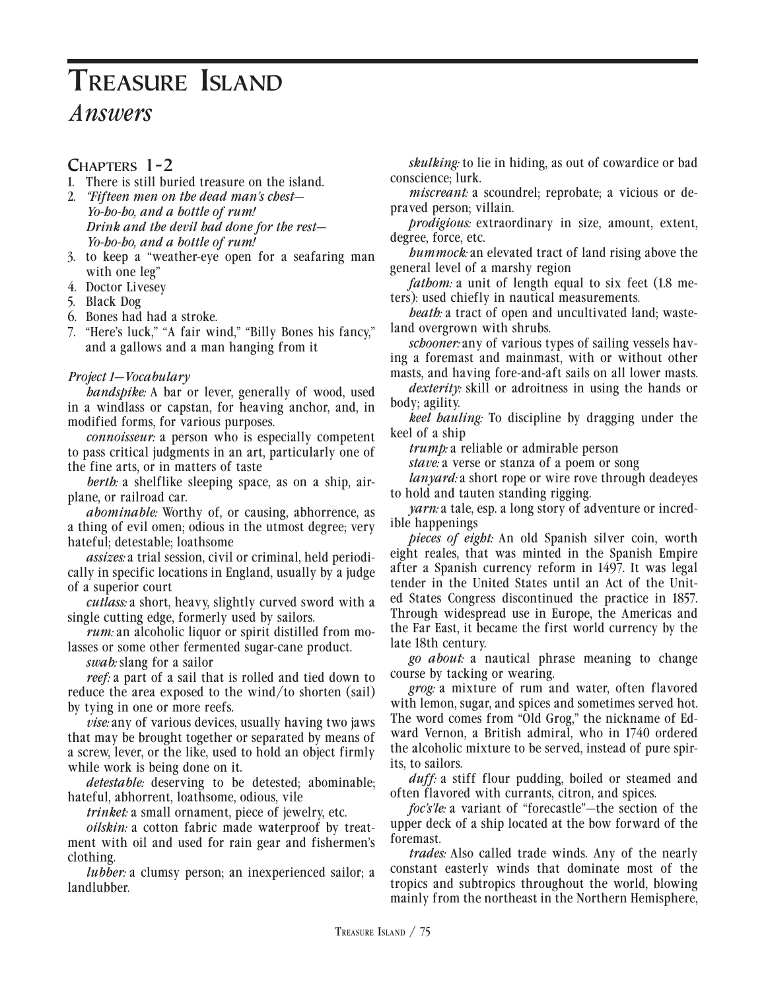### **Chapters 1-2**

- 1. There is still buried treasure on the island.
- 2. *"Fifteen men on the dead man's chest— Yo-ho-ho, and a bottle of rum! Drink and the devil had done for the rest— Yo-ho-ho, and a bottle of rum!*
- 3. to keep a "weather-eye open for a seafaring man with one leg"
- 4. Doctor Livesey
- 5. Black Dog
- 6. Bones had had a stroke.
- 7. "Here's luck," "A fair wind," "Billy Bones his fancy," and a gallows and a man hanging from it

#### *Project 1—Vocabulary*

*handspike:* A bar or lever, generally of wood, used in a windlass or capstan, for heaving anchor, and, in modified forms, for various purposes.

*connoisseur:* a person who is especially competent to pass critical judgments in an art, particularly one of the fine arts, or in matters of taste

*berth:* a shelflike sleeping space, as on a ship, airplane, or railroad car.

*abominable:* Worthy of, or causing, abhorrence, as a thing of evil omen; odious in the utmost degree; very hateful; detestable; loathsome

*assizes:* a trial session, civil or criminal, held periodically in specific locations in England, usually by a judge of a superior court

*cutlass:* a short, heavy, slightly curved sword with a single cutting edge, formerly used by sailors.

*rum:* an alcoholic liquor or spirit distilled from molasses or some other fermented sugar-cane product.

*swab:* slang for a sailor

*reef:* a part of a sail that is rolled and tied down to reduce the area exposed to the wind/to shorten (sail) by tying in one or more reefs.

*vise:* any of various devices, usually having two jaws that may be brought together or separated by means of a screw, lever, or the like, used to hold an object firmly while work is being done on it.

*detestable:* deserving to be detested; abominable; hateful, abhorrent, loathsome, odious, vile

*trinket:* a small ornament, piece of jewelry, etc.

*oilskin:* a cotton fabric made waterproof by treatment with oil and used for rain gear and fishermen's clothing.

*lubber:* a clumsy person; an inexperienced sailor; a landlubber.

*skulking:* to lie in hiding, as out of cowardice or bad conscience; lurk.

*miscreant: a scoundrel; reprobate; a vicious or de*praved person; villain.

*prodigious:* extraordinary in size, amount, extent, degree, force, etc.

*hummock:* an elevated tract of land rising above the general level of a marshy region

*fathom:* a unit of length equal to six feet (1.8 meters): used chiefly in nautical measurements.

*heath:* a tract of open and uncultivated land; wasteland overgrown with shrubs.

*schooner:* any of various types of sailing vessels having a foremast and mainmast, with or without other masts, and having fore-and-aft sails on all lower masts.

*dexterity:* skill or adroitness in using the hands or body; agility.

*keel hauling:* To discipline by dragging under the keel of a ship

*trump:* a reliable or admirable person

*stave:* a verse or stanza of a poem or song

*lanyard:* a short rope or wire rove through deadeyes to hold and tauten standing rigging.

*yarn:* a tale, esp. a long story of adventure or incredible happenings

*pieces of eight:* An old Spanish silver coin, worth eight reales, that was minted in the Spanish Empire after a Spanish currency reform in 1497. It was legal tender in the United States until an Act of the United States Congress discontinued the practice in 1857. Through widespread use in Europe, the Americas and the Far East, it became the first world currency by the late 18th century.

*go about:* a nautical phrase meaning to change course by tacking or wearing.

*grog:* a mixture of rum and water, often flavored with lemon, sugar, and spices and sometimes served hot. The word comes from "Old Grog," the nickname of Edward Vernon, a British admiral, who in 1740 ordered the alcoholic mixture to be served, instead of pure spirits, to sailors.

*duff:* a stiff flour pudding, boiled or steamed and often flavored with currants, citron, and spices.

*foc's'le:* a variant of "forecastle"—the section of the upper deck of a ship located at the bow forward of the foremast.

*trades:* Also called trade winds. Any of the nearly constant easterly winds that dominate most of the tropics and subtropics throughout the world, blowing mainly from the northeast in the Northern Hemisphere,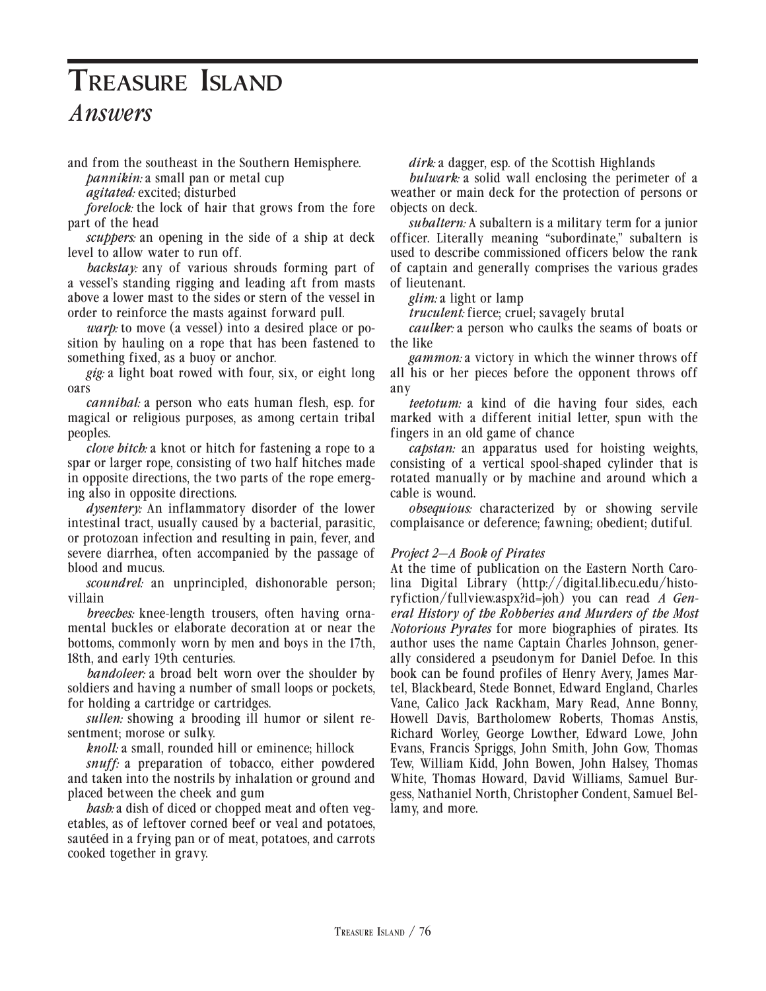# **Treasure Island**

# *Answers*

and from the southeast in the Southern Hemisphere.

*pannikin: a small pan or metal cup* 

*agitated:* excited; disturbed

*forelock:* the lock of hair that grows from the fore part of the head

*scuppers:* an opening in the side of a ship at deck level to allow water to run off.

*backstay:* any of various shrouds forming part of a vessel's standing rigging and leading aft from masts above a lower mast to the sides or stern of the vessel in order to reinforce the masts against forward pull.

*warp:* to move (a vessel) into a desired place or position by hauling on a rope that has been fastened to something fixed, as a buoy or anchor.

*gig:* a light boat rowed with four, six, or eight long oars

*cannibal:* a person who eats human flesh, esp. for magical or religious purposes, as among certain tribal peoples.

*clove hitch:* a knot or hitch for fastening a rope to a spar or larger rope, consisting of two half hitches made in opposite directions, the two parts of the rope emerging also in opposite directions.

*dysentery:* An inflammatory disorder of the lower intestinal tract, usually caused by a bacterial, parasitic, or protozoan infection and resulting in pain, fever, and severe diarrhea, often accompanied by the passage of blood and mucus.

*scoundrel:* an unprincipled, dishonorable person; villain

*breeches:* knee-length trousers, often having ornamental buckles or elaborate decoration at or near the bottoms, commonly worn by men and boys in the 17th, 18th, and early 19th centuries.

*bandoleer:* a broad belt worn over the shoulder by soldiers and having a number of small loops or pockets, for holding a cartridge or cartridges.

*sullen:* showing a brooding ill humor or silent resentment; morose or sulky.

*knoll:* a small, rounded hill or eminence; hillock

*snuff:* a preparation of tobacco, either powdered and taken into the nostrils by inhalation or ground and placed between the cheek and gum

*hash:* a dish of diced or chopped meat and often vegetables, as of leftover corned beef or veal and potatoes, sautéed in a frying pan or of meat, potatoes, and carrots cooked together in gravy.

*dirk:* a dagger, esp. of the Scottish Highlands

*bulwark:* a solid wall enclosing the perimeter of a weather or main deck for the protection of persons or objects on deck.

*subaltern:* A subaltern is a military term for a junior officer. Literally meaning "subordinate," subaltern is used to describe commissioned officers below the rank of captain and generally comprises the various grades of lieutenant.

*glim:* a light or lamp

*truculent:* fierce; cruel; savagely brutal

*caulker:* a person who caulks the seams of boats or the like

*gammon:* a victory in which the winner throws off all his or her pieces before the opponent throws off any

*teetotum:* a kind of die having four sides, each marked with a different initial letter, spun with the fingers in an old game of chance

*capstan:* an apparatus used for hoisting weights, consisting of a vertical spool-shaped cylinder that is rotated manually or by machine and around which a cable is wound.

*obsequious:* characterized by or showing servile complaisance or deference; fawning; obedient; dutiful.

#### *Project 2—A Book of Pirates*

At the time of publication on the Eastern North Carolina Digital Library (http://digital.lib.ecu.edu/historyfiction/fullview.aspx?id=joh) you can read *A General History of the Robberies and Murders of the Most Notorious Pyrates* for more biographies of pirates. Its author uses the name Captain Charles Johnson, generally considered a pseudonym for Daniel Defoe. In this book can be found profiles of Henry Avery, James Martel, Blackbeard, Stede Bonnet, Edward England, Charles Vane, Calico Jack Rackham, Mary Read, Anne Bonny, Howell Davis, Bartholomew Roberts, Thomas Anstis, Richard Worley, George Lowther, Edward Lowe, John Evans, Francis Spriggs, John Smith, John Gow, Thomas Tew, William Kidd, John Bowen, John Halsey, Thomas White, Thomas Howard, David Williams, Samuel Burgess, Nathaniel North, Christopher Condent, Samuel Bellamy, and more.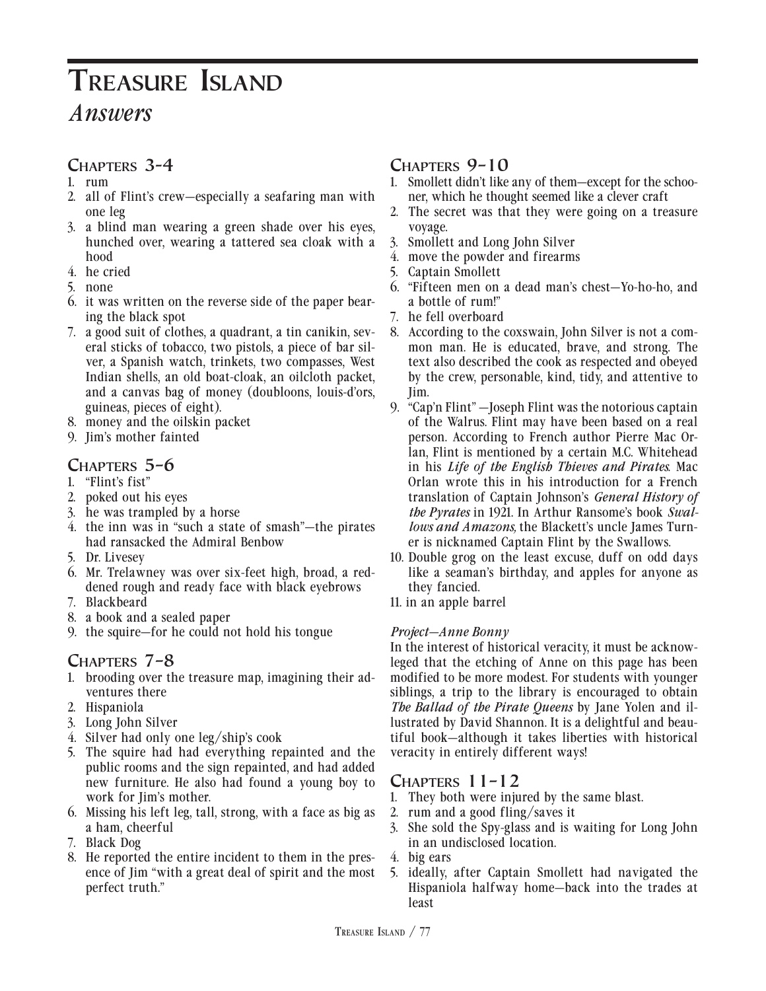# **Chapters 3-4**

- 1. rum
- 2. all of Flint's crew—especially a seafaring man with one leg
- 3. a blind man wearing a green shade over his eyes, hunched over, wearing a tattered sea cloak with a hood
- 4. he cried
- 5. none
- 6. it was written on the reverse side of the paper bearing the black spot
- 7. a good suit of clothes, a quadrant, a tin canikin, several sticks of tobacco, two pistols, a piece of bar silver, a Spanish watch, trinkets, two compasses, West Indian shells, an old boat-cloak, an oilcloth packet, and a canvas bag of money (doubloons, louis-d'ors, guineas, pieces of eight).
- 8. money and the oilskin packet
- 9. Jim's mother fainted

# **Chapters 5–6**

- 1. "Flint's fist"
- 2. poked out his eyes
- 3. he was trampled by a horse
- 4. the inn was in "such a state of smash"—the pirates had ransacked the Admiral Benbow
- 5. Dr. Livesey
- 6. Mr. Trelawney was over six-feet high, broad, a reddened rough and ready face with black eyebrows
- 7. Blackbeard
- 8. a book and a sealed paper
- 9. the squire—for he could not hold his tongue

# **Chapters 7–8**

- 1. brooding over the treasure map, imagining their adventures there
- 2. Hispaniola
- 3. Long John Silver
- 4. Silver had only one leg/ship's cook
- 5. The squire had had everything repainted and the public rooms and the sign repainted, and had added new furniture. He also had found a young boy to work for Jim's mother.
- 6. Missing his left leg, tall, strong, with a face as big as a ham, cheerful
- 7. Black Dog
- 8. He reported the entire incident to them in the presence of Jim "with a great deal of spirit and the most perfect truth."

# **Chapters 9–10**

- 1. Smollett didn't like any of them—except for the schooner, which he thought seemed like a clever craft
- 2. The secret was that they were going on a treasure voyage.
- 3. Smollett and Long John Silver
- 4. move the powder and firearms
- 5. Captain Smollett
- 6. "Fifteen men on a dead man's chest—Yo-ho-ho, and a bottle of rum!"
- 7. he fell overboard
- 8. According to the coxswain, John Silver is not a common man. He is educated, brave, and strong. The text also described the cook as respected and obeyed by the crew, personable, kind, tidy, and attentive to Jim.
- 9. "Cap'n Flint" —Joseph Flint was the notorious captain of the Walrus. Flint may have been based on a real person. According to French author Pierre Mac Orlan, Flint is mentioned by a certain M.C. Whitehead in his *Life of the English Thieves and Pirates*. Mac Orlan wrote this in his introduction for a French translation of Captain Johnson's *General History of the Pyrates* in 1921. In Arthur Ransome's book *Swallows and Amazons,* the Blackett's uncle James Turner is nicknamed Captain Flint by the Swallows.
- 10. Double grog on the least excuse, duff on odd days like a seaman's birthday, and apples for anyone as they fancied.
- 11. in an apple barrel

#### *Project—Anne Bonny*

In the interest of historical veracity, it must be acknowleged that the etching of Anne on this page has been modified to be more modest. For students with younger siblings, a trip to the library is encouraged to obtain *The Ballad of the Pirate Queens* by Jane Yolen and illustrated by David Shannon. It is a delightful and beautiful book—although it takes liberties with historical veracity in entirely different ways!

# **Chapters 11–12**

- 1. They both were injured by the same blast.
- 2. rum and a good fling/saves it
- 3. She sold the Spy-glass and is waiting for Long John in an undisclosed location.
- 4. big ears
- 5. ideally, after Captain Smollett had navigated the Hispaniola halfway home—back into the trades at least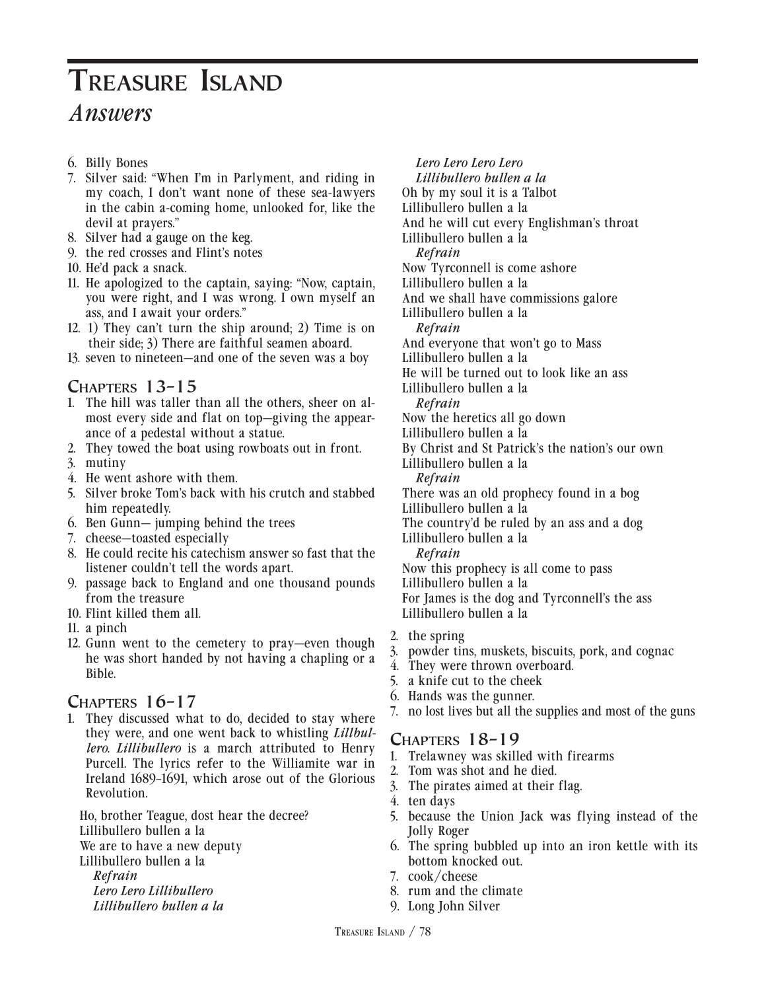- 6. Billy Bones
- 7. Silver said: "When I'm in Parlyment, and riding in my coach, I don't want none of these sea-lawyers in the cabin a-coming home, unlooked for, like the devil at prayers."
- 8. Silver had a gauge on the keg.
- 9. the red crosses and Flint's notes
- 10. He'd pack a snack.
- 11. He apologized to the captain, saying: "Now, captain, you were right, and I was wrong. I own myself an ass, and I await your orders."
- 12. 1) They can't turn the ship around; 2) Time is on their side; 3) There are faithful seamen aboard.
- 13. seven to nineteen—and one of the seven was a boy

### **Chapters 13–15**

- 1. The hill was taller than all the others, sheer on almost every side and flat on top—giving the appearance of a pedestal without a statue.
- 2. They towed the boat using rowboats out in front.
- 3. mutiny
- 4. He went ashore with them.
- 5. Silver broke Tom's back with his crutch and stabbed him repeatedly.
- 6. Ben Gunn— jumping behind the trees
- 7. cheese—toasted especially
- 8. He could recite his catechism answer so fast that the listener couldn't tell the words apart.
- 9. passage back to England and one thousand pounds from the treasure
- 10. Flint killed them all.
- 11. a pinch
- 12. Gunn went to the cemetery to pray—even though he was short handed by not having a chapling or a Bible.

#### **Chapters 16–17**

1. They discussed what to do, decided to stay where they were, and one went back to whistling *Lillbullero. Lillibullero* is a march attributed to Henry Purcell. The lyrics refer to the Williamite war in Ireland 1689–1691, which arose out of the Glorious Revolution.

 Ho, brother Teague, dost hear the decree? Lillibullero bullen a la We are to have a new deputy Lillibullero bullen a la  *Refrain Lero Lero Lillibullero*

- 
- *Lillibullero bullen a la*

#### *Lero Lero Lero Lero*

 *Lillibullero bullen a la*

- Oh by my soul it is a Talbot
- Lillibullero bullen a la
- And he will cut every Englishman's throat
- Lillibullero bullen a la

 *Refrain*

- Now Tyrconnell is come ashore
- Lillibullero bullen a la
- And we shall have commissions galore
- Lillibullero bullen a la
- *Refrain*
- And everyone that won't go to Mass
- Lillibullero bullen a la
- He will be turned out to look like an ass
- Lillibullero bullen a la

 *Refrain*

- Now the heretics all go down
- Lillibullero bullen a la
- By Christ and St Patrick's the nation's our own
- Lillibullero bullen a la
- *Refrain*

There was an old prophecy found in a bog

Lillibullero bullen a la

 The country'd be ruled by an ass and a dog Lillibullero bullen a la

 *Refrain*

 Now this prophecy is all come to pass Lillibullero bullen a la For James is the dog and Tyrconnell's the ass Lillibullero bullen a la

- 2. the spring
- 3. powder tins, muskets, biscuits, pork, and cognac
- 4. They were thrown overboard.
- 5. a knife cut to the cheek
- 6. Hands was the gunner.
- 7. no lost lives but all the supplies and most of the guns

#### **Chapters 18–19**

- 1. Trelawney was skilled with firearms
- 2. Tom was shot and he died.
- 3. The pirates aimed at their flag.
- 4. ten days
- 5. because the Union Jack was flying instead of the Jolly Roger
- 6. The spring bubbled up into an iron kettle with its bottom knocked out.
- 7. cook/cheese
- 8. rum and the climate
- 9. Long John Silver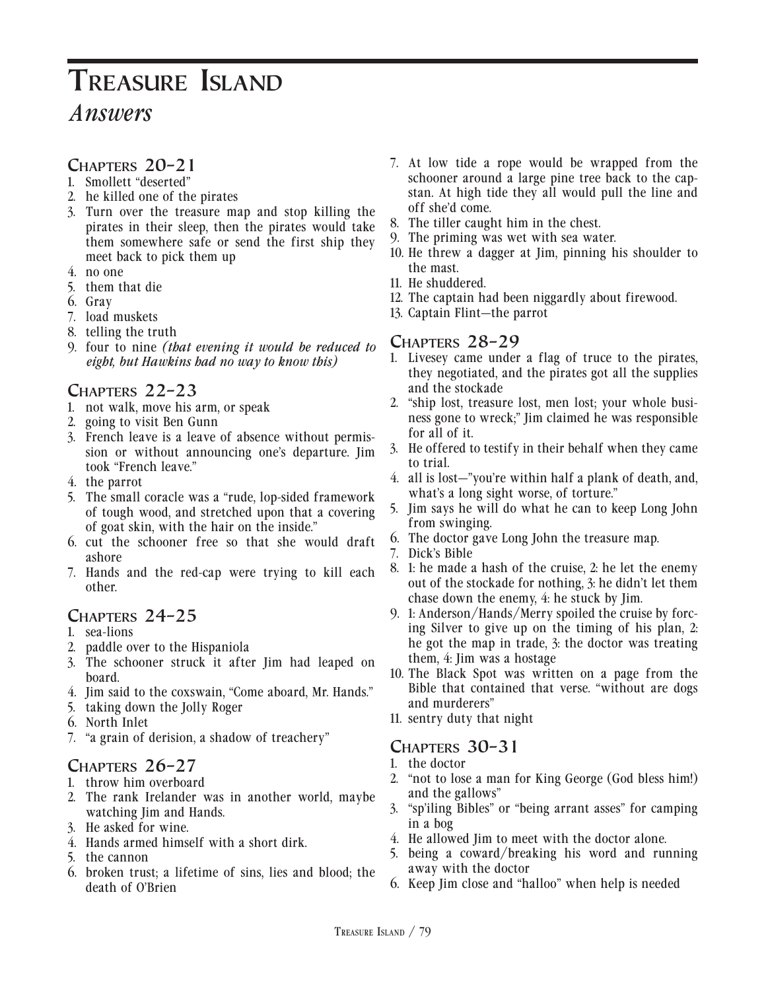### **Chapters 20–21**

- 1. Smollett "deserted"
- 2. he killed one of the pirates
- 3. Turn over the treasure map and stop killing the pirates in their sleep, then the pirates would take them somewhere safe or send the first ship they meet back to pick them up
- 4. no one
- 5. them that die
- 6. Gray
- 7. load muskets
- 8. telling the truth
- 9. four to nine *(that evening it would be reduced to eight, but Hawkins had no way to know this)*

### **Chapters 22–23**

- 1. not walk, move his arm, or speak
- 2. going to visit Ben Gunn
- 3. French leave is a leave of absence without permission or without announcing one's departure. Jim took "French leave."
- 4. the parrot
- 5. The small coracle was a "rude, lop-sided framework of tough wood, and stretched upon that a covering of goat skin, with the hair on the inside."
- 6. cut the schooner free so that she would draft ashore
- 7. Hands and the red-cap were trying to kill each other.

### **Chapters 24–25**

- 1. sea-lions
- 2. paddle over to the Hispaniola
- 3. The schooner struck it after Jim had leaped on board.
- 4. Jim said to the coxswain, "Come aboard, Mr. Hands."
- 5. taking down the Jolly Roger
- 6. North Inlet
- 7. "a grain of derision, a shadow of treachery"

# **Chapters 26–27**

- 1. throw him overboard
- 2. The rank Irelander was in another world, maybe watching Jim and Hands.
- 3. He asked for wine.
- 4. Hands armed himself with a short dirk.
- 5. the cannon
- 6. broken trust; a lifetime of sins, lies and blood; the death of O'Brien
- 7. At low tide a rope would be wrapped from the schooner around a large pine tree back to the capstan. At high tide they all would pull the line and off she'd come.
- 8. The tiller caught him in the chest.
- 9. The priming was wet with sea water.
- 10. He threw a dagger at Jim, pinning his shoulder to the mast.
- 11. He shuddered.
- 12. The captain had been niggardly about firewood.
- 13. Captain Flint—the parrot

#### **Chapters 28–29**

- 1. Livesey came under a flag of truce to the pirates, they negotiated, and the pirates got all the supplies and the stockade
- 2. "ship lost, treasure lost, men lost; your whole business gone to wreck;" Jim claimed he was responsible for all of it.
- 3. He offered to testify in their behalf when they came to trial.
- 4. all is lost—"you're within half a plank of death, and, what's a long sight worse, of torture."
- 5. Jim says he will do what he can to keep Long John from swinging.
- 6. The doctor gave Long John the treasure map.
- 7. Dick's Bible
- 8. 1: he made a hash of the cruise, 2: he let the enemy out of the stockade for nothing, 3: he didn't let them chase down the enemy, 4: he stuck by Jim.
- 9. 1: Anderson/Hands/Merry spoiled the cruise by forcing Silver to give up on the timing of his plan, 2: he got the map in trade, 3: the doctor was treating them, 4: Jim was a hostage
- 10. The Black Spot was written on a page from the Bible that contained that verse. "without are dogs and murderers"
- 11. sentry duty that night

# **Chapters 30–31**

- 1. the doctor
- 2. "not to lose a man for King George (God bless him!) and the gallows"
- 3. "sp'iling Bibles" or "being arrant asses" for camping in a bog
- 4. He allowed Jim to meet with the doctor alone.
- 5. being a coward/breaking his word and running away with the doctor
- 6. Keep Jim close and "halloo" when help is needed